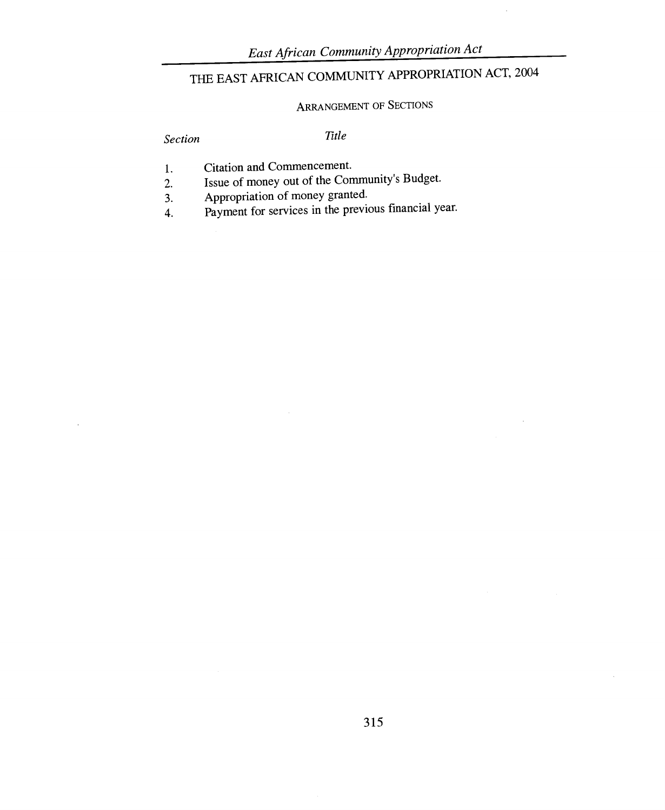# THE EAST AFRICAN COMMUNITY APPROPRIATION ACT, 2004

## ARRANGEMENT OF SECTIONS

### *Section Title*

- 1. Citation and Commencement.<br>2. Issue of money out of the Con
- 2. Issue of money out of the Community's Budget.<br>3. Appropriation of money granted.
- 3. Appropriation of money granted.
- 4. Payment for services in the previous financial year.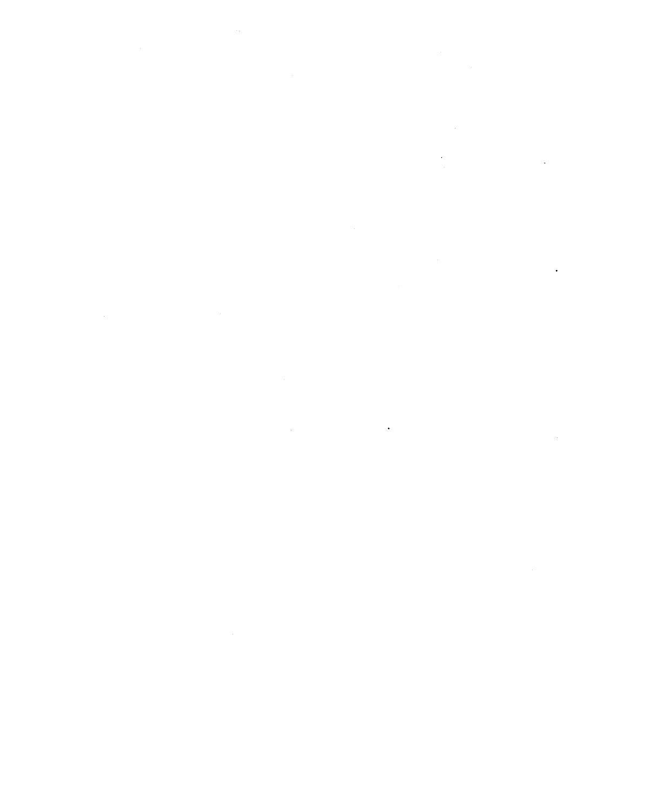$\mathcal{L}^{\text{max}}_{\text{max}}$  .  $\mathcal{L}^{\mathcal{L}}(\mathcal{L}^{\mathcal{L}})$  and  $\mathcal{L}^{\mathcal{L}}(\mathcal{L}^{\mathcal{L}})$  and  $\mathcal{L}^{\mathcal{L}}(\mathcal{L}^{\mathcal{L}})$  and  $\mathcal{L}^{\mathcal{L}}(\mathcal{L}^{\mathcal{L}})$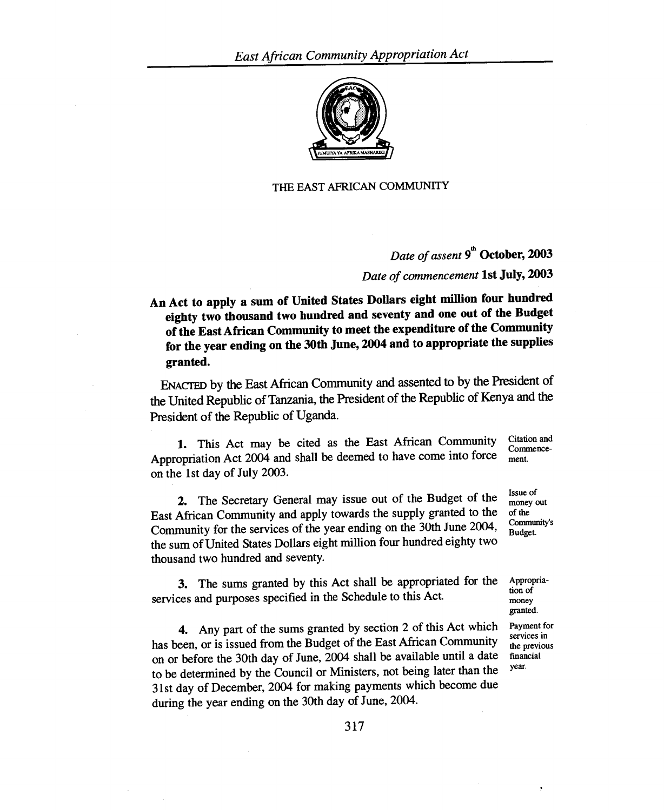

### THE EAST AFRICAN COMMUNITY

*Date of assent 9th* **October, 2003**  *Date of commencement* **1st July, 2003** 

**An Act to apply a sum of United States Dollars eight million four hundred eighty two thousand two hundred and seventy and one out of the Budget of the East African Community to meet the expenditure of the Community for the year ending on the 30th June, 2004 and to appropriate the supplies granted.** 

ENACTED by the East African Community and assented to by the President of the United Republic of Tanzania, the President of the Republic of Kenya and the President of the Republic of Uganda.

1. This Act may be cited as the East African Community Appropriation Act 2004 and shall be deemed to have come into force on the 1st day of July 2003.

2. The Secretary General may issue out of the Budget of the East African Community and apply towards the supply granted to the Community for the services of the year ending on the 30th June 2004, the sum of United States Dollars eight million four hundred eighty two thousand two hundred and seventy.

3. The sums granted by this Act shall be appropriated for the services and purposes specified in the Schedule to this Act.

4. Any part of the sums granted by section 2 of this Act which has been, or is issued from the Budget of the East African Community on or before the 30th day of June, 2004 shall be available until a date to be determined by the Council or Ministers, not being later than the 31st day of December, 2004 for making payments which become due during the year ending on the 30th day of June, 2004.

Citation and Commencement.

Issue of money out of the Community's Budget.

Appropriation of money granted.

Payment for services in the previous financial year.